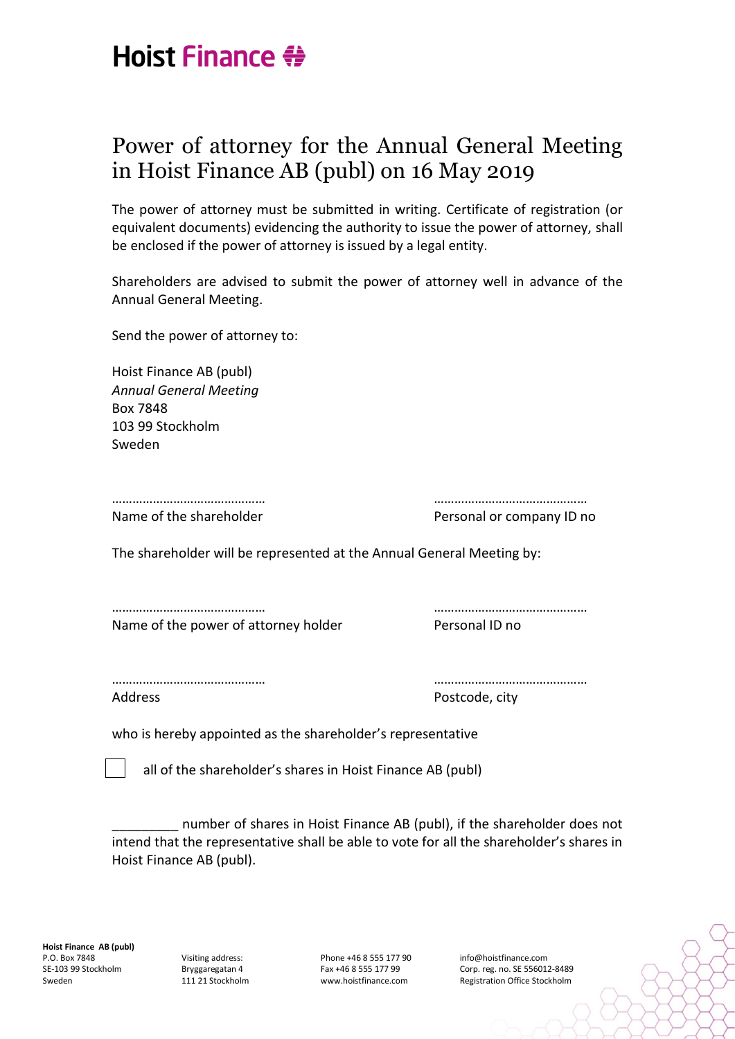## Hoist Finance #

## Power of attorney for the Annual General Meeting in Hoist Finance AB (publ) on 16 May 2019

The power of attorney must be submitted in writing. Certificate of registration (or equivalent documents) evidencing the authority to issue the power of attorney, shall be enclosed if the power of attorney is issued by a legal entity.

Shareholders are advised to submit the power of attorney well in advance of the Annual General Meeting.

Send the power of attorney to:

Hoist Finance AB (publ) *Annual General Meeting* Box 7848 103 99 Stockholm Sweden

Name of the shareholder **Personal or company ID** no

……………………………………… ………………………………………

The shareholder will be represented at the Annual General Meeting by:

……………………………………… ……………………………………… Name of the power of attorney holder Personal ID no

Address Postcode, city

……………………………………… ………………………………………

who is hereby appointed as the shareholder's representative

all of the shareholder's shares in Hoist Finance AB (publ)

\_\_\_\_\_\_\_\_\_ number of shares in Hoist Finance AB (publ), if the shareholder does not intend that the representative shall be able to vote for all the shareholder's shares in Hoist Finance AB (publ).

Visiting address: Bryggaregatan 4 111 21 Stockholm Phone +46 8 555 177 90 Fax +46 8 555 177 99 www.hoistfinance.com

info@hoistfinance.com Corp. reg. no. SE 556012-8489 Registration Office Stockholm